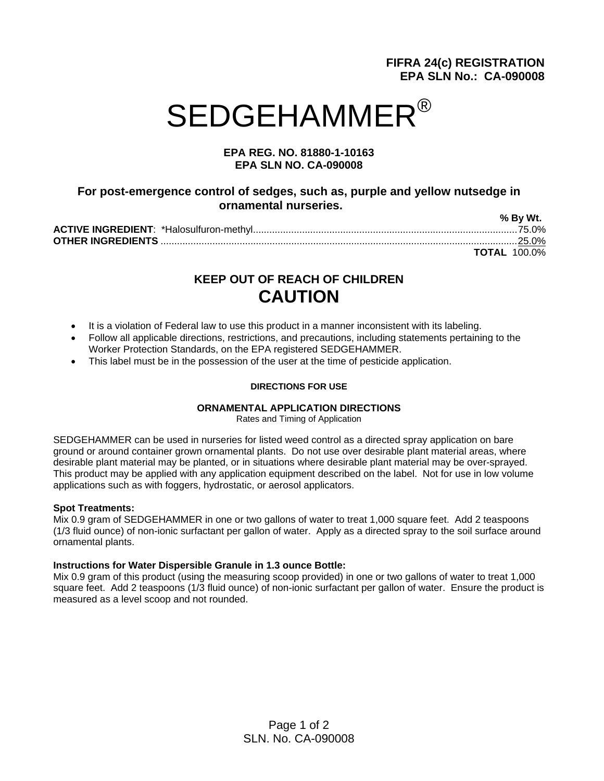# **FIFRA 24(c) REGISTRATION EPA SLN No.: CA-090008**

# SEDGEHAMMER<sup>®</sup>

### **EPA REG. NO. 81880-1-10163 EPA SLN NO. CA-090008**

## **For post-emergence control of sedges, such as, purple and yellow nutsedge in ornamental nurseries.**

| % By Wt.            |
|---------------------|
|                     |
|                     |
| <b>TOTAL 100.0%</b> |

# **KEEP OUT OF REACH OF CHILDREN CAUTION**

- It is a violation of Federal law to use this product in a manner inconsistent with its labeling.
- Follow all applicable directions, restrictions, and precautions, including statements pertaining to the Worker Protection Standards, on the EPA registered SEDGEHAMMER.
- This label must be in the possession of the user at the time of pesticide application.

#### **DIRECTIONS FOR USE**

#### **ORNAMENTAL APPLICATION DIRECTIONS**

Rates and Timing of Application

SEDGEHAMMER can be used in nurseries for listed weed control as a directed spray application on bare ground or around container grown ornamental plants. Do not use over desirable plant material areas, where desirable plant material may be planted, or in situations where desirable plant material may be over-sprayed. This product may be applied with any application equipment described on the label. Not for use in low volume applications such as with foggers, hydrostatic, or aerosol applicators.

#### **Spot Treatments:**

Mix 0.9 gram of SEDGEHAMMER in one or two gallons of water to treat 1,000 square feet. Add 2 teaspoons (1/3 fluid ounce) of non-ionic surfactant per gallon of water. Apply as a directed spray to the soil surface around ornamental plants.

#### **Instructions for Water Dispersible Granule in 1.3 ounce Bottle:**

Mix 0.9 gram of this product (using the measuring scoop provided) in one or two gallons of water to treat 1,000 square feet. Add 2 teaspoons (1/3 fluid ounce) of non-ionic surfactant per gallon of water. Ensure the product is measured as a level scoop and not rounded.